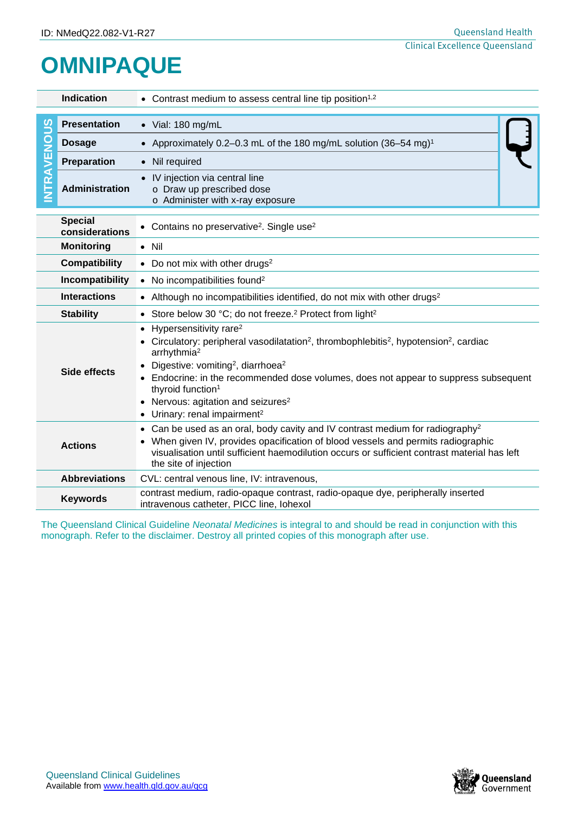## **OMNIPAQUE**

| <b>Indication</b>                                                                                                                                                                                              |                                  | • Contrast medium to assess central line tip position <sup>1,2</sup>                                                                                                                                                                                                                                                                                                                                                                                                                   |  |  |  |  |
|----------------------------------------------------------------------------------------------------------------------------------------------------------------------------------------------------------------|----------------------------------|----------------------------------------------------------------------------------------------------------------------------------------------------------------------------------------------------------------------------------------------------------------------------------------------------------------------------------------------------------------------------------------------------------------------------------------------------------------------------------------|--|--|--|--|
|                                                                                                                                                                                                                |                                  |                                                                                                                                                                                                                                                                                                                                                                                                                                                                                        |  |  |  |  |
| ທ<br>TRAVENO                                                                                                                                                                                                   | <b>Presentation</b>              | $\bullet$ Vial: 180 mg/mL                                                                                                                                                                                                                                                                                                                                                                                                                                                              |  |  |  |  |
|                                                                                                                                                                                                                | <b>Dosage</b>                    | • Approximately 0.2-0.3 mL of the 180 mg/mL solution (36-54 mg) <sup>1</sup>                                                                                                                                                                                                                                                                                                                                                                                                           |  |  |  |  |
|                                                                                                                                                                                                                | <b>Preparation</b>               | • Nil required                                                                                                                                                                                                                                                                                                                                                                                                                                                                         |  |  |  |  |
|                                                                                                                                                                                                                | <b>Administration</b>            | IV injection via central line<br>$\bullet$<br>o Draw up prescribed dose<br>o Administer with x-ray exposure                                                                                                                                                                                                                                                                                                                                                                            |  |  |  |  |
|                                                                                                                                                                                                                | <b>Special</b><br>considerations | • Contains no preservative <sup>2</sup> . Single use <sup>2</sup>                                                                                                                                                                                                                                                                                                                                                                                                                      |  |  |  |  |
|                                                                                                                                                                                                                | <b>Monitoring</b>                | $\bullet$ Nil                                                                                                                                                                                                                                                                                                                                                                                                                                                                          |  |  |  |  |
| <b>Compatibility</b>                                                                                                                                                                                           |                                  | • Do not mix with other drugs <sup>2</sup>                                                                                                                                                                                                                                                                                                                                                                                                                                             |  |  |  |  |
| Incompatibility                                                                                                                                                                                                |                                  | • No incompatibilities found <sup>2</sup>                                                                                                                                                                                                                                                                                                                                                                                                                                              |  |  |  |  |
| <b>Interactions</b>                                                                                                                                                                                            |                                  | • Although no incompatibilities identified, do not mix with other drugs <sup>2</sup>                                                                                                                                                                                                                                                                                                                                                                                                   |  |  |  |  |
|                                                                                                                                                                                                                | <b>Stability</b>                 | • Store below 30 °C; do not freeze. <sup>2</sup> Protect from light <sup>2</sup>                                                                                                                                                                                                                                                                                                                                                                                                       |  |  |  |  |
| <b>Side effects</b>                                                                                                                                                                                            |                                  | Hypersensitivity rare <sup>2</sup><br>$\bullet$<br>Circulatory: peripheral vasodilatation <sup>2</sup> , thrombophlebitis <sup>2</sup> , hypotension <sup>2</sup> , cardiac<br>arrhythmia <sup>2</sup><br>Digestive: vomiting <sup>2</sup> , diarrhoea <sup>2</sup><br>Endocrine: in the recommended dose volumes, does not appear to suppress subsequent<br>thyroid function <sup>1</sup><br>• Nervous: agitation and seizures <sup>2</sup><br>Urinary: renal impairment <sup>2</sup> |  |  |  |  |
| <b>Actions</b>                                                                                                                                                                                                 |                                  | Can be used as an oral, body cavity and IV contrast medium for radiography <sup>2</sup><br>$\bullet$<br>When given IV, provides opacification of blood vessels and permits radiographic<br>visualisation until sufficient haemodilution occurs or sufficient contrast material has left<br>the site of injection                                                                                                                                                                       |  |  |  |  |
|                                                                                                                                                                                                                | <b>Abbreviations</b>             | CVL: central venous line, IV: intravenous,                                                                                                                                                                                                                                                                                                                                                                                                                                             |  |  |  |  |
|                                                                                                                                                                                                                | <b>Keywords</b>                  | contrast medium, radio-opaque contrast, radio-opaque dye, peripherally inserted<br>intravenous catheter, PICC line, lohexol                                                                                                                                                                                                                                                                                                                                                            |  |  |  |  |
| The Queensland Clinical Guideline Neonatal Medicines is integral to and should be read in conjunction with this<br>monograph. Refer to the disclaimer. Destroy all printed copies of this monograph after use. |                                  |                                                                                                                                                                                                                                                                                                                                                                                                                                                                                        |  |  |  |  |